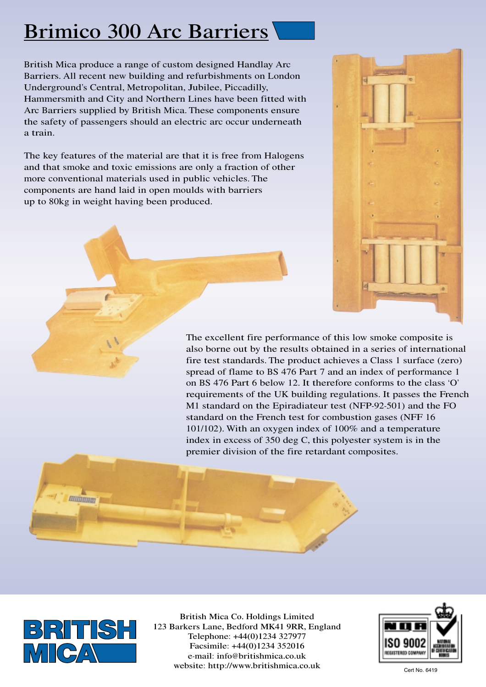## Brimico 300 Arc Barriers

British Mica produce a range of custom designed Handlay Arc Barriers. All recent new building and refurbishments on London Underground's Central, Metropolitan, Jubilee, Piccadilly, Hammersmith and City and Northern Lines have been fitted with Arc Barriers supplied by British Mica. These components ensure the safety of passengers should an electric arc occur underneath a train.

The key features of the material are that it is free from Halogens and that smoke and toxic emissions are only a fraction of other more conventional materials used in public vehicles. The components are hand laid in open moulds with barriers up to 80kg in weight having been produced.



The excellent fire performance of this low smoke composite is also borne out by the results obtained in a series of international fire test standards. The product achieves a Class 1 surface (zero) spread of flame to BS 476 Part 7 and an index of performance 1 on BS 476 Part 6 below 12. It therefore conforms to the class 'O' requirements of the UK building regulations. It passes the French M1 standard on the Epiradiateur test (NFP-92-501) and the FO standard on the French test for combustion gases (NFF 16 101/102). With an oxygen index of 100% and a temperature index in excess of 350 deg C, this polyester system is in the premier division of the fire retardant composites.





British Mica Co. Holdings Limited 123 Barkers Lane, Bedford MK41 9RR, England Telephone: +44(0)1234 327977 Facsimile: +44(0)1234 352016 e-mail: info@britishmica.co.uk website: http://www.britishmica.co.uk